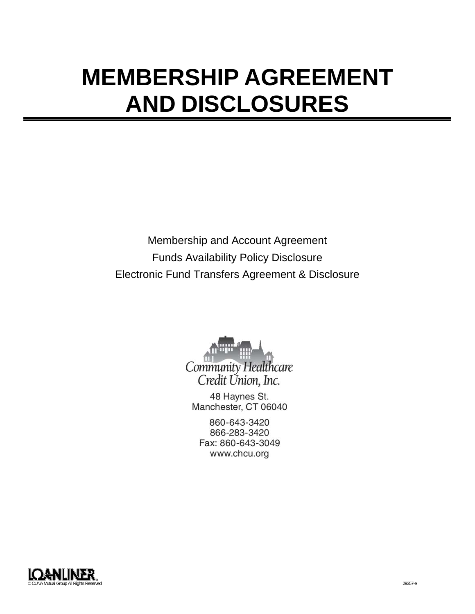# **MEMBERSHIP AGREEMENT AND DISCLOSURES**

Membership and Account Agreement Funds Availability Policy Disclosure Electronic Fund Transfers Agreement & Disclosure



48 Haynes St. Manchester, CT 06040

860-643-3420 866-283-3420 Fax: 860-643-3049 www.chcu.org

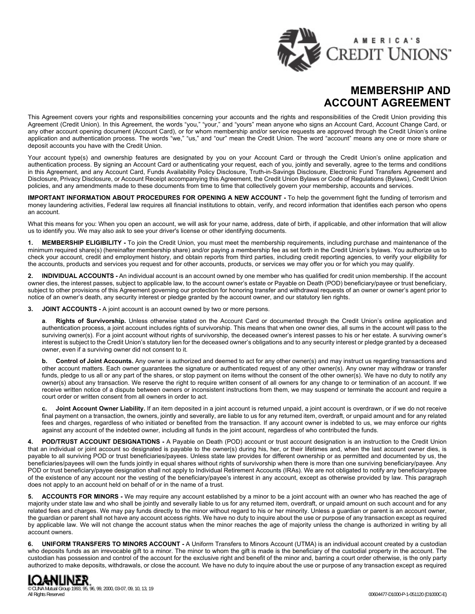

# **MEMBERSHIP AND ACCOUNT AGREEMENT**

This Agreement covers your rights and responsibilities concerning your accounts and the rights and responsibilities of the Credit Union providing this Agreement (Credit Union). In this Agreement, the words "you," "your," and "yours" mean anyone who signs an Account Card, Account Change Card, or any other account opening document (Account Card), or for whom membership and/or service requests are approved through the Credit Union's online application and authentication process. The words "we," "us," and "our" mean the Credit Union. The word "account" means any one or more share or deposit accounts you have with the Credit Union.

Your account type(s) and ownership features are designated by you on your Account Card or through the Credit Union's online application and authentication process. By signing an Account Card or authenticating your request, each of you, jointly and severally, agree to the terms and conditions in this Agreement, and any Account Card, Funds Availability Policy Disclosure, Truth-in-Savings Disclosure, Electronic Fund Transfers Agreement and Disclosure, Privacy Disclosure, or Account Receipt accompanying this Agreement, the Credit Union Bylaws or Code of Regulations (Bylaws), Credit Union policies, and any amendments made to these documents from time to time that collectively govern your membership, accounts and services.

**IMPORTANT INFORMATION ABOUT PROCEDURES FOR OPENING A NEW ACCOUNT -** To help the government fight the funding of terrorism and money laundering activities, Federal law requires all financial institutions to obtain, verify, and record information that identifies each person who opens an account.

What this means for you: When you open an account, we will ask for your name, address, date of birth, if applicable, and other information that will allow us to identify you. We may also ask to see your driver's license or other identifying documents.

**1. MEMBERSHIP ELIGIBILITY -** To join the Credit Union, you must meet the membership requirements, including purchase and maintenance of the minimum required share(s) (hereinafter membership share) and/or paying a membership fee as set forth in the Credit Union's bylaws. You authorize us to check your account, credit and employment history, and obtain reports from third parties, including credit reporting agencies, to verify your eligibility for the accounts, products and services you request and for other accounts, products, or services we may offer you or for which you may qualify.

**2. INDIVIDUAL ACCOUNTS -** An individual account is an account owned by one member who has qualified for credit union membership. If the account owner dies, the interest passes, subject to applicable law, to the account owner's estate or Payable on Death (POD) beneficiary/payee or trust beneficiary, subject to other provisions of this Agreement governing our protection for honoring transfer and withdrawal requests of an owner or owner's agent prior to notice of an owner's death, any security interest or pledge granted by the account owner, and our statutory lien rights.

**3. JOINT ACCOUNTS -** A joint account is an account owned by two or more persons.

**a**. **Rights of Survivorship.** Unless otherwise stated on the Account Card or documented through the Credit Union's online application and authentication process, a joint account includes rights of survivorship. This means that when one owner dies, all sums in the account will pass to the surviving owner(s). For a joint account without rights of survivorship, the deceased owner's interest passes to his or her estate. A surviving owner's interest is subject to the Credit Union's statutory lien for the deceased owner's obligations and to any security interest or pledge granted by a deceased owner, even if a surviving owner did not consent to it.

**b. Control of Joint Accounts.** Any owner is authorized and deemed to act for any other owner(s) and may instruct us regarding transactions and other account matters. Each owner guarantees the signature or authenticated request of any other owner(s). Any owner may withdraw or transfer funds, pledge to us all or any part of the shares, or stop payment on items without the consent of the other owner(s). We have no duty to notify any owner(s) about any transaction. We reserve the right to require written consent of all owners for any change to or termination of an account. If we receive written notice of a dispute between owners or inconsistent instructions from them, we may suspend or terminate the account and require a court order or written consent from all owners in order to act.

**c. Joint Account Owner Liability.** If an item deposited in a joint account is returned unpaid, a joint account is overdrawn, or if we do not receive final payment on a transaction, the owners, jointly and severally, are liable to us for any returned item, overdraft, or unpaid amount and for any related fees and charges, regardless of who initiated or benefited from the transaction. If any account owner is indebted to us, we may enforce our rights against any account of the indebted owner, including all funds in the joint account, regardless of who contributed the funds.

**4. POD/TRUST ACCOUNT DESIGNATIONS -** A Payable on Death (POD) account or trust account designation is an instruction to the Credit Union that an individual or joint account so designated is payable to the owner(s) during his, her, or their lifetimes and, when the last account owner dies, is payable to all surviving POD or trust beneficiaries/payees. Unless state law provides for different ownership or as permitted and documented by us, the beneficiaries/payees will own the funds jointly in equal shares without rights of survivorship when there is more than one surviving beneficiary/payee. Any POD or trust beneficiary/payee designation shall not apply to Individual Retirement Accounts (IRAs). We are not obligated to notify any beneficiary/payee of the existence of any account nor the vesting of the beneficiary/payee's interest in any account, except as otherwise provided by law. This paragraph does not apply to an account held on behalf of or in the name of a trust.

**5. ACCOUNTS FOR MINORS -** We may require any account established by a minor to be a joint account with an owner who has reached the age of majority under state law and who shall be jointly and severally liable to us for any returned item, overdraft, or unpaid amount on such account and for any related fees and charges. We may pay funds directly to the minor without regard to his or her minority. Unless a guardian or parent is an account owner, the guardian or parent shall not have any account access rights. We have no duty to inquire about the use or purpose of any transaction except as required by applicable law. We will not change the account status when the minor reaches the age of majority unless the change is authorized in writing by all account owners.

**6. UNIFORM TRANSFERS TO MINORS ACCOUNT -** A Uniform Transfers to Minors Account (UTMA) is an individual account created by a custodian who deposits funds as an irrevocable gift to a minor. The minor to whom the gift is made is the beneficiary of the custodial property in the account. The custodian has possession and control of the account for the exclusive right and benefit of the minor and, barring a court order otherwise, is the only party authorized to make deposits, withdrawals, or close the account. We have no duty to inquire about the use or purpose of any transaction except as required

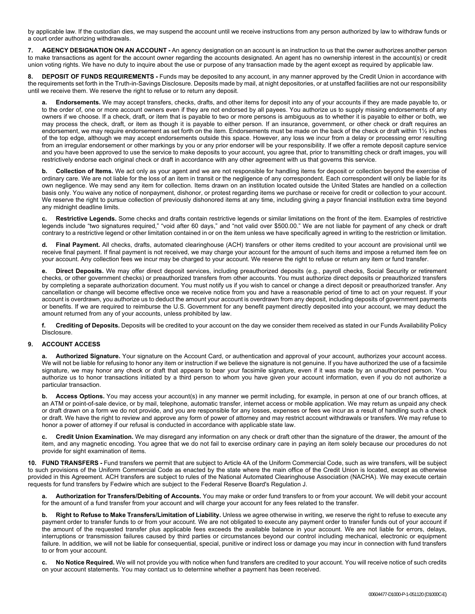by applicable law. If the custodian dies, we may suspend the account until we receive instructions from any person authorized by law to withdraw funds or a court order authorizing withdrawals.

**7. AGENCY DESIGNATION ON AN ACCOUNT -** An agency designation on an account is an instruction to us that the owner authorizes another person to make transactions as agent for the account owner regarding the accounts designated. An agent has no ownership interest in the account(s) or credit union voting rights. We have no duty to inquire about the use or purpose of any transaction made by the agent except as required by applicable law.

**DEPOSIT OF FUNDS REQUIREMENTS** - Funds may be deposited to any account, in any manner approved by the Credit Union in accordance with the requirements set forth in the Truth-in-Savings Disclosure. Deposits made by mail, at night depositories, or at unstaffed facilities are not our responsibility until we receive them. We reserve the right to refuse or to return any deposit.

**a. Endorsements.** We may accept transfers, checks, drafts, and other items for deposit into any of your accounts if they are made payable to, or to the order of, one or more account owners even if they are not endorsed by all payees. You authorize us to supply missing endorsements of any owners if we choose. If a check, draft, or item that is payable to two or more persons is ambiguous as to whether it is payable to either or both, we may process the check, draft, or item as though it is payable to either person. If an insurance, government, or other check or draft requires an endorsement, we may require endorsement as set forth on the item. Endorsements must be made on the back of the check or draft within 1½ inches of the top edge, although we may accept endorsements outside this space. However, any loss we incur from a delay or processing error resulting from an irregular endorsement or other markings by you or any prior endorser will be your responsibility. If we offer a remote deposit capture service and you have been approved to use the service to make deposits to your account, you agree that, prior to transmitting check or draft images, you will restrictively endorse each original check or draft in accordance with any other agreement with us that governs this service.

**b. Collection of Items.** We act only as your agent and we are not responsible for handling items for deposit or collection beyond the exercise of ordinary care. We are not liable for the loss of an item in transit or the negligence of any correspondent. Each correspondent will only be liable for its own negligence. We may send any item for collection. Items drawn on an institution located outside the United States are handled on a collection basis only. You waive any notice of nonpayment, dishonor, or protest regarding items we purchase or receive for credit or collection to your account. We reserve the right to pursue collection of previously dishonored items at any time, including giving a payor financial institution extra time beyond any midnight deadline limits.

**c. Restrictive Legends.** Some checks and drafts contain restrictive legends or similar limitations on the front of the item. Examples of restrictive legends include "two signatures required," "void after 60 days," and "not valid over \$500.00." We are not liable for payment of any check or draft contrary to a restrictive legend or other limitation contained in or on the item unless we have specifically agreed in writing to the restriction or limitation.

**d. Final Payment.** All checks, drafts, automated clearinghouse (ACH) transfers or other items credited to your account are provisional until we receive final payment. If final payment is not received, we may charge your account for the amount of such items and impose a returned item fee on your account. Any collection fees we incur may be charged to your account. We reserve the right to refuse or return any item or fund transfer.

**e. Direct Deposits.** We may offer direct deposit services, including preauthorized deposits (e.g., payroll checks, Social Security or retirement checks, or other government checks) or preauthorized transfers from other accounts. You must authorize direct deposits or preauthorized transfers by completing a separate authorization document. You must notify us if you wish to cancel or change a direct deposit or preauthorized transfer. Any cancellation or change will become effective once we receive notice from you and have a reasonable period of time to act on your request. If your account is overdrawn, you authorize us to deduct the amount your account is overdrawn from any deposit, including deposits of government payments or benefits. If we are required to reimburse the U.S. Government for any benefit payment directly deposited into your account, we may deduct the amount returned from any of your accounts, unless prohibited by law.

**f. Crediting of Deposits.** Deposits will be credited to your account on the day we consider them received as stated in our Funds Availability Policy Disclosure.

# **9. ACCOUNT ACCESS**

**a. Authorized Signature.** Your signature on the Account Card, or authentication and approval of your account, authorizes your account access. We will not be liable for refusing to honor any item or instruction if we believe the signature is not genuine. If you have authorized the use of a facsimile signature, we may honor any check or draft that appears to bear your facsimile signature, even if it was made by an unauthorized person. You authorize us to honor transactions initiated by a third person to whom you have given your account information, even if you do not authorize a particular transaction.

**b. Access Options.** You may access your account(s) in any manner we permit including, for example, in person at one of our branch offices, at an ATM or point-of-sale device, or by mail, telephone, automatic transfer, internet access or mobile application. We may return as unpaid any check or draft drawn on a form we do not provide, and you are responsible for any losses, expenses or fees we incur as a result of handling such a check or draft. We have the right to review and approve any form of power of attorney and may restrict account withdrawals or transfers. We may refuse to honor a power of attorney if our refusal is conducted in accordance with applicable state law.

**c. Credit Union Examination.** We may disregard any information on any check or draft other than the signature of the drawer, the amount of the item, and any magnetic encoding. You agree that we do not fail to exercise ordinary care in paying an item solely because our procedures do not provide for sight examination of items.

**10. FUND TRANSFERS -** Fund transfers we permit that are subject to Article 4A of the Uniform Commercial Code, such as wire transfers, will be subject to such provisions of the Uniform Commercial Code as enacted by the state where the main office of the Credit Union is located, except as otherwise provided in this Agreement. ACH transfers are subject to rules of the National Automated Clearinghouse Association (NACHA). We may execute certain requests for fund transfers by Fedwire which are subject to the Federal Reserve Board's Regulation J.

**a. Authorization for Transfers/Debiting of Accounts.** You may make or order fund transfers to or from your account. We will debit your account for the amount of a fund transfer from your account and will charge your account for any fees related to the transfer.

**b. Right to Refuse to Make Transfers/Limitation of Liability.** Unless we agree otherwise in writing, we reserve the right to refuse to execute any payment order to transfer funds to or from your account. We are not obligated to execute any payment order to transfer funds out of your account if the amount of the requested transfer plus applicable fees exceeds the available balance in your account. We are not liable for errors, delays, interruptions or transmission failures caused by third parties or circumstances beyond our control including mechanical, electronic or equipment failure. In addition, we will not be liable for consequential, special, punitive or indirect loss or damage you may incur in connection with fund transfers to or from your account.

**c. No Notice Required.** We will not provide you with notice when fund transfers are credited to your account. You will receive notice of such credits on your account statements. You may contact us to determine whether a payment has been received.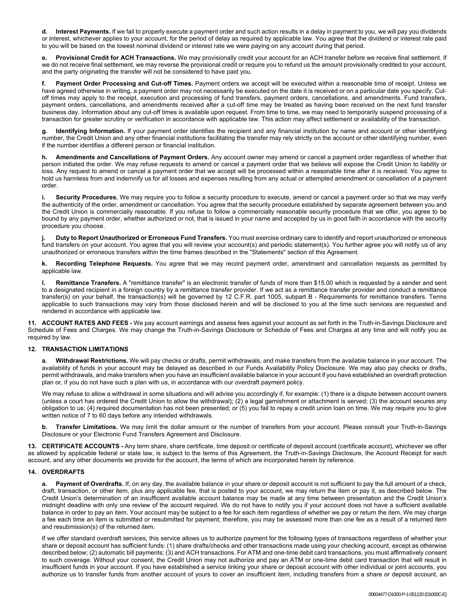**d. Interest Payments.** If we fail to properly execute a payment order and such action results in a delay in payment to you, we will pay you dividends or interest, whichever applies to your account, for the period of delay as required by applicable law. You agree that the dividend or interest rate paid to you will be based on the lowest nominal dividend or interest rate we were paying on any account during that period.

**e. Provisional Credit for ACH Transactions.** We may provisionally credit your account for an ACH transfer before we receive final settlement. If we do not receive final settlement, we may reverse the provisional credit or require you to refund us the amount provisionally credited to your account, and the party originating the transfer will not be considered to have paid you.

**f. Payment Order Processing and Cut-off Times.** Payment orders we accept will be executed within a reasonable time of receipt. Unless we have agreed otherwise in writing, a payment order may not necessarily be executed on the date it is received or on a particular date you specify. Cutoff times may apply to the receipt, execution and processing of fund transfers, payment orders, cancellations, and amendments. Fund transfers, payment orders, cancellations, and amendments received after a cut-off time may be treated as having been received on the next fund transfer business day. Information about any cut-off times is available upon request. From time to time, we may need to temporarily suspend processing of a transaction for greater scrutiny or verification in accordance with applicable law. This action may affect settlement or availability of the transaction.

**g. Identifying Information.** If your payment order identifies the recipient and any financial institution by name and account or other identifying number, the Credit Union and any other financial institutions facilitating the transfer may rely strictly on the account or other identifying number, even if the number identifies a different person or financial institution.

**h. Amendments and Cancellations of Payment Orders.** Any account owner may amend or cancel a payment order regardless of whether that person initiated the order. We may refuse requests to amend or cancel a payment order that we believe will expose the Credit Union to liability or loss. Any request to amend or cancel a payment order that we accept will be processed within a reasonable time after it is received. You agree to hold us harmless from and indemnify us for all losses and expenses resulting from any actual or attempted amendment or cancellation of a payment order.

**i. Security Procedures.** We may require you to follow a security procedure to execute, amend or cancel a payment order so that we may verify the authenticity of the order, amendment or cancellation. You agree that the security procedure established by separate agreement between you and the Credit Union is commercially reasonable. If you refuse to follow a commercially reasonable security procedure that we offer, you agree to be bound by any payment order, whether authorized or not, that is issued in your name and accepted by us in good faith in accordance with the security procedure you choose.

**j. Duty to Report Unauthorized or Erroneous Fund Transfers.** You must exercise ordinary care to identify and report unauthorized or erroneous fund transfers on your account. You agree that you will review your account(s) and periodic statement(s). You further agree you will notify us of any unauthorized or erroneous transfers within the time frames described in the "Statements" section of this Agreement.

**k. Recording Telephone Requests.** You agree that we may record payment order, amendment and cancellation requests as permitted by applicable law.

**l. Remittance Transfers.** A "remittance transfer" is an electronic transfer of funds of more than \$15.00 which is requested by a sender and sent to a designated recipient in a foreign country by a remittance transfer provider. If we act as a remittance transfer provider and conduct a remittance transfer(s) on your behalf, the transaction(s) will be governed by 12 C.F.R. part 1005, subpart B - Requirements for remittance transfers. Terms applicable to such transactions may vary from those disclosed herein and will be disclosed to you at the time such services are requested and rendered in accordance with applicable law.

**11. ACCOUNT RATES AND FEES -** We pay account earnings and assess fees against your account as set forth in the Truth-in-Savings Disclosure and Schedule of Fees and Charges. We may change the Truth-in-Savings Disclosure or Schedule of Fees and Charges at any time and will notify you as required by law.

# **12. TRANSACTION LIMITATIONS**

**a. Withdrawal Restrictions.** We will pay checks or drafts, permit withdrawals, and make transfers from the available balance in your account. The availability of funds in your account may be delayed as described in our Funds Availability Policy Disclosure. We may also pay checks or drafts, permit withdrawals, and make transfers when you have an insufficient available balance in your account if you have established an overdraft protection plan or, if you do not have such a plan with us, in accordance with our overdraft payment policy.

We may refuse to allow a withdrawal in some situations and will advise you accordingly if, for example: (1) there is a dispute between account owners (unless a court has ordered the Credit Union to allow the withdrawal); (2) a legal garnishment or attachment is served; (3) the account secures any obligation to us; (4) required documentation has not been presented; or (5) you fail to repay a credit union loan on time. We may require you to give written notice of 7 to 60 days before any intended withdrawals.

**b. Transfer Limitations.** We may limit the dollar amount or the number of transfers from your account. Please consult your Truth-in-Savings Disclosure or your Electronic Fund Transfers Agreement and Disclosure.

**13. CERTIFICATE ACCOUNTS -** Any term share, share certificate, time deposit or certificate of deposit account (certificate account), whichever we offer as allowed by applicable federal or state law, is subject to the terms of this Agreement, the Truth-in-Savings Disclosure, the Account Receipt for each account, and any other documents we provide for the account, the terms of which are incorporated herein by reference.

# **14. OVERDRAFTS**

**a. Payment of Overdrafts.** If, on any day, the available balance in your share or deposit account is not sufficient to pay the full amount of a check, draft, transaction, or other item, plus any applicable fee, that is posted to your account, we may return the item or pay it, as described below. The Credit Union's determination of an insufficient available account balance may be made at any time between presentation and the Credit Union's midnight deadline with only one review of the account required. We do not have to notify you if your account does not have a sufficient available balance in order to pay an item. Your account may be subject to a fee for each item regardless of whether we pay or return the item. We may charge a fee each time an item is submitted or resubmitted for payment; therefore, you may be assessed more than one fee as a result of a returned item and resubmission(s) of the returned item.

If we offer standard overdraft services, this service allows us to authorize payment for the following types of transactions regardless of whether your share or deposit account has sufficient funds: (1) share drafts/checks and other transactions made using your checking account, except as otherwise described below; (2) automatic bill payments; (3) and ACH transactions. For ATM and one-time debit card transactions, you must affirmatively consent to such coverage. Without your consent, the Credit Union may not authorize and pay an ATM or one-time debit card transaction that will result in insufficient funds in your account. If you have established a service linking your share or deposit account with other individual or joint accounts, you authorize us to transfer funds from another account of yours to cover an insufficient item, including transfers from a share or deposit account, an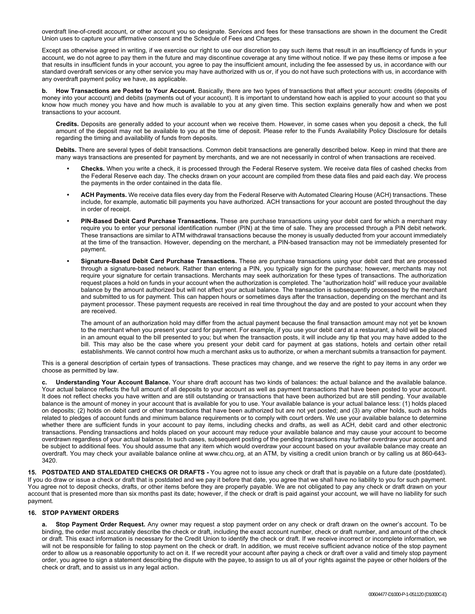overdraft line-of-credit account, or other account you so designate. Services and fees for these transactions are shown in the document the Credit Union uses to capture your affirmative consent and the Schedule of Fees and Charges.

Except as otherwise agreed in writing, if we exercise our right to use our discretion to pay such items that result in an insufficiency of funds in your account, we do not agree to pay them in the future and may discontinue coverage at any time without notice. If we pay these items or impose a fee that results in insufficient funds in your account, you agree to pay the insufficient amount, including the fee assessed by us, in accordance with our standard overdraft services or any other service you may have authorized with us or, if you do not have such protections with us, in accordance with any overdraft payment policy we have, as applicable.

**b. How Transactions are Posted to Your Account.** Basically, there are two types of transactions that affect your account: credits (deposits of money into your account) and debits (payments out of your account). It is important to understand how each is applied to your account so that you know how much money you have and how much is available to you at any given time. This section explains generally how and when we post transactions to your account.

**Credits.** Deposits are generally added to your account when we receive them. However, in some cases when you deposit a check, the full amount of the deposit may not be available to you at the time of deposit. Please refer to the Funds Availability Policy Disclosure for details regarding the timing and availability of funds from deposits.

**Debits.** There are several types of debit transactions. Common debit transactions are generally described below. Keep in mind that there are many ways transactions are presented for payment by merchants, and we are not necessarily in control of when transactions are received.

- **• Checks.** When you write a check, it is processed through the Federal Reserve system. We receive data files of cashed checks from the Federal Reserve each day. The checks drawn on your account are compiled from these data files and paid each day. We process the payments in the order contained in the data file.
- **• ACH Payments.** We receive data files every day from the Federal Reserve with Automated Clearing House (ACH) transactions. These include, for example, automatic bill payments you have authorized. ACH transactions for your account are posted throughout the day in order of receipt.
- **• PIN-Based Debit Card Purchase Transactions.** These are purchase transactions using your debit card for which a merchant may require you to enter your personal identification number (PIN) at the time of sale. They are processed through a PIN debit network. These transactions are similar to ATM withdrawal transactions because the money is usually deducted from your account immediately at the time of the transaction. However, depending on the merchant, a PIN-based transaction may not be immediately presented for payment.
- **• Signature-Based Debit Card Purchase Transactions.** These are purchase transactions using your debit card that are processed through a signature-based network. Rather than entering a PIN, you typically sign for the purchase; however, merchants may not require your signature for certain transactions. Merchants may seek authorization for these types of transactions. The authorization request places a hold on funds in your account when the authorization is completed. The "authorization hold" will reduce your available balance by the amount authorized but will not affect your actual balance. The transaction is subsequently processed by the merchant and submitted to us for payment. This can happen hours or sometimes days after the transaction, depending on the merchant and its payment processor. These payment requests are received in real time throughout the day and are posted to your account when they are received.

The amount of an authorization hold may differ from the actual payment because the final transaction amount may not yet be known to the merchant when you present your card for payment. For example, if you use your debit card at a restaurant, a hold will be placed in an amount equal to the bill presented to you; but when the transaction posts, it will include any tip that you may have added to the bill. This may also be the case where you present your debit card for payment at gas stations, hotels and certain other retail establishments. We cannot control how much a merchant asks us to authorize, or when a merchant submits a transaction for payment.

This is a general description of certain types of transactions. These practices may change, and we reserve the right to pay items in any order we choose as permitted by law.

**c. Understanding Your Account Balance.** Your share draft account has two kinds of balances: the actual balance and the available balance. Your actual balance reflects the full amount of all deposits to your account as well as payment transactions that have been posted to your account. It does not reflect checks you have written and are still outstanding or transactions that have been authorized but are still pending. Your available balance is the amount of money in your account that is available for you to use. Your available balance is your actual balance less: (1) holds placed on deposits; (2) holds on debit card or other transactions that have been authorized but are not yet posted; and (3) any other holds, such as holds related to pledges of account funds and minimum balance requirements or to comply with court orders. We use your available balance to determine whether there are sufficient funds in your account to pay items, including checks and drafts, as well as ACH, debit card and other electronic transactions. Pending transactions and holds placed on your account may reduce your available balance and may cause your account to become overdrawn regardless of your actual balance. In such cases, subsequent posting of the pending transactions may further overdraw your account and be subject to additional fees. You should assume that any item which would overdraw your account based on your available balance may create an overdraft. You may check your available balance online at www.chcu.org, at an ATM, by visiting a credit union branch or by calling us at 860-643- 3420.

**15. POSTDATED AND STALEDATED CHECKS OR DRAFTS -** You agree not to issue any check or draft that is payable on a future date (postdated). If you do draw or issue a check or draft that is postdated and we pay it before that date, you agree that we shall have no liability to you for such payment. You agree not to deposit checks, drafts, or other items before they are properly payable. We are not obligated to pay any check or draft drawn on your account that is presented more than six months past its date; however, if the check or draft is paid against your account, we will have no liability for such payment.

# **16. STOP PAYMENT ORDERS**

**a. Stop Payment Order Request.** Any owner may request a stop payment order on any check or draft drawn on the owner's account. To be binding, the order must accurately describe the check or draft, including the exact account number, check or draft number, and amount of the check or draft. This exact information is necessary for the Credit Union to identify the check or draft. If we receive incorrect or incomplete information, we will not be responsible for failing to stop payment on the check or draft. In addition, we must receive sufficient advance notice of the stop payment order to allow us a reasonable opportunity to act on it. If we recredit your account after paying a check or draft over a valid and timely stop payment order, you agree to sign a statement describing the dispute with the payee, to assign to us all of your rights against the payee or other holders of the check or draft, and to assist us in any legal action.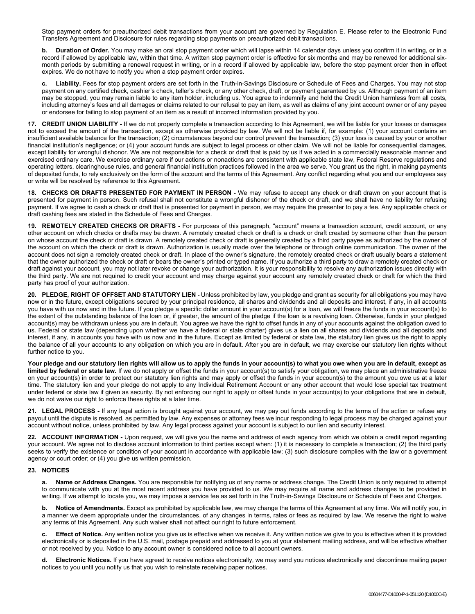Stop payment orders for preauthorized debit transactions from your account are governed by Regulation E. Please refer to the Electronic Fund Transfers Agreement and Disclosure for rules regarding stop payments on preauthorized debit transactions.

**b. Duration of Order.** You may make an oral stop payment order which will lapse within 14 calendar days unless you confirm it in writing, or in a record if allowed by applicable law, within that time. A written stop payment order is effective for six months and may be renewed for additional sixmonth periods by submitting a renewal request in writing, or in a record if allowed by applicable law, before the stop payment order then in effect expires. We do not have to notify you when a stop payment order expires.

**c. Liability.** Fees for stop payment orders are set forth in the Truth-in-Savings Disclosure or Schedule of Fees and Charges. You may not stop payment on any certified check, cashier's check, teller's check, or any other check, draft, or payment guaranteed by us. Although payment of an item may be stopped, you may remain liable to any item holder, including us. You agree to indemnify and hold the Credit Union harmless from all costs, including attorney's fees and all damages or claims related to our refusal to pay an item, as well as claims of any joint account owner or of any payee or endorsee for failing to stop payment of an item as a result of incorrect information provided by you.

**17. CREDIT UNION LIABILITY -** If we do not properly complete a transaction according to this Agreement, we will be liable for your losses or damages not to exceed the amount of the transaction, except as otherwise provided by law. We will not be liable if, for example: (1) your account contains an insufficient available balance for the transaction; (2) circumstances beyond our control prevent the transaction; (3) your loss is caused by your or another financial institution's negligence; or (4) your account funds are subject to legal process or other claim. We will not be liable for consequential damages, except liability for wrongful dishonor. We are not responsible for a check or draft that is paid by us if we acted in a commercially reasonable manner and exercised ordinary care. We exercise ordinary care if our actions or nonactions are consistent with applicable state law, Federal Reserve regulations and operating letters, clearinghouse rules, and general financial institution practices followed in the area we serve. You grant us the right, in making payments of deposited funds, to rely exclusively on the form of the account and the terms of this Agreement. Any conflict regarding what you and our employees say or write will be resolved by reference to this Agreement.

**18. CHECKS OR DRAFTS PRESENTED FOR PAYMENT IN PERSON -** We may refuse to accept any check or draft drawn on your account that is presented for payment in person. Such refusal shall not constitute a wrongful dishonor of the check or draft, and we shall have no liability for refusing payment. If we agree to cash a check or draft that is presented for payment in person, we may require the presenter to pay a fee. Any applicable check or draft cashing fees are stated in the Schedule of Fees and Charges.

**19. REMOTELY CREATED CHECKS OR DRAFTS -** For purposes of this paragraph, "account" means a transaction account, credit account, or any other account on which checks or drafts may be drawn. A remotely created check or draft is a check or draft created by someone other than the person on whose account the check or draft is drawn. A remotely created check or draft is generally created by a third party payee as authorized by the owner of the account on which the check or draft is drawn. Authorization is usually made over the telephone or through online communication. The owner of the account does not sign a remotely created check or draft. In place of the owner's signature, the remotely created check or draft usually bears a statement that the owner authorized the check or draft or bears the owner's printed or typed name. If you authorize a third party to draw a remotely created check or draft against your account, you may not later revoke or change your authorization. It is your responsibility to resolve any authorization issues directly with the third party. We are not required to credit your account and may charge against your account any remotely created check or draft for which the third party has proof of your authorization.

**20. PLEDGE, RIGHT OF OFFSET AND STATUTORY LIEN -** Unless prohibited by law, you pledge and grant as security for all obligations you may have now or in the future, except obligations secured by your principal residence, all shares and dividends and all deposits and interest, if any, in all accounts you have with us now and in the future. If you pledge a specific dollar amount in your account(s) for a loan, we will freeze the funds in your account(s) to the extent of the outstanding balance of the loan or, if greater, the amount of the pledge if the loan is a revolving loan. Otherwise, funds in your pledged account(s) may be withdrawn unless you are in default. You agree we have the right to offset funds in any of your accounts against the obligation owed to us. Federal or state law (depending upon whether we have a federal or state charter) gives us a lien on all shares and dividends and all deposits and interest, if any, in accounts you have with us now and in the future. Except as limited by federal or state law, the statutory lien gives us the right to apply the balance of all your accounts to any obligation on which you are in default. After you are in default, we may exercise our statutory lien rights without further notice to you.

**Your pledge and our statutory lien rights will allow us to apply the funds in your account(s) to what you owe when you are in default, except as limited by federal or state law.** If we do not apply or offset the funds in your account(s) to satisfy your obligation, we may place an administrative freeze on your account(s) in order to protect our statutory lien rights and may apply or offset the funds in your account(s) to the amount you owe us at a later time. The statutory lien and your pledge do not apply to any Individual Retirement Account or any other account that would lose special tax treatment under federal or state law if given as security. By not enforcing our right to apply or offset funds in your account(s) to your obligations that are in default, we do not waive our right to enforce these rights at a later time.

**21. LEGAL PROCESS -** If any legal action is brought against your account, we may pay out funds according to the terms of the action or refuse any payout until the dispute is resolved, as permitted by law. Any expenses or attorney fees we incur responding to legal process may be charged against your account without notice, unless prohibited by law. Any legal process against your account is subject to our lien and security interest.

**22. ACCOUNT INFORMATION -** Upon request, we will give you the name and address of each agency from which we obtain a credit report regarding your account. We agree not to disclose account information to third parties except when: (1) it is necessary to complete a transaction; (2) the third party seeks to verify the existence or condition of your account in accordance with applicable law; (3) such disclosure complies with the law or a government agency or court order; or (4) you give us written permission.

# **23. NOTICES**

**a. Name or Address Changes.** You are responsible for notifying us of any name or address change. The Credit Union is only required to attempt to communicate with you at the most recent address you have provided to us. We may require all name and address changes to be provided in writing. If we attempt to locate you, we may impose a service fee as set forth in the Truth-in-Savings Disclosure or Schedule of Fees and Charges.

**b. Notice of Amendments.** Except as prohibited by applicable law, we may change the terms of this Agreement at any time. We will notify you, in a manner we deem appropriate under the circumstances, of any changes in terms, rates or fees as required by law. We reserve the right to waive any terms of this Agreement. Any such waiver shall not affect our right to future enforcement.

**Effect of Notice.** Any written notice you give us is effective when we receive it. Any written notice we give to you is effective when it is provided electronically or is deposited in the U.S. mail, postage prepaid and addressed to you at your statement mailing address, and will be effective whether or not received by you. Notice to any account owner is considered notice to all account owners.

**d. Electronic Notices.** If you have agreed to receive notices electronically, we may send you notices electronically and discontinue mailing paper notices to you until you notify us that you wish to reinstate receiving paper notices.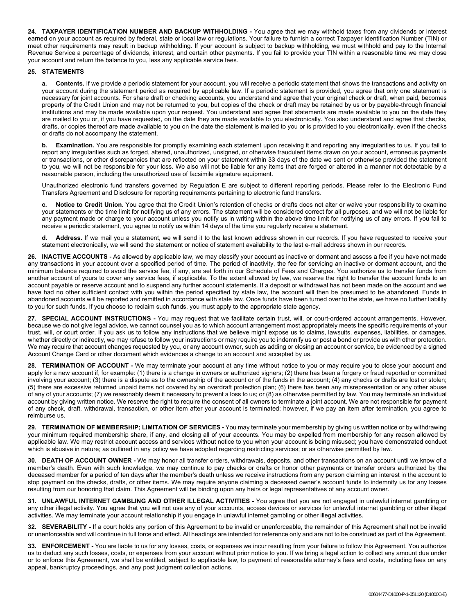**24. TAXPAYER IDENTIFICATION NUMBER AND BACKUP WITHHOLDING -** You agree that we may withhold taxes from any dividends or interest earned on your account as required by federal, state or local law or regulations. Your failure to furnish a correct Taxpayer Identification Number (TIN) or meet other requirements may result in backup withholding. If your account is subject to backup withholding, we must withhold and pay to the Internal Revenue Service a percentage of dividends, interest, and certain other payments. If you fail to provide your TIN within a reasonable time we may close your account and return the balance to you, less any applicable service fees.

# **25. STATEMENTS**

**a. Contents.** If we provide a periodic statement for your account, you will receive a periodic statement that shows the transactions and activity on your account during the statement period as required by applicable law. If a periodic statement is provided, you agree that only one statement is necessary for joint accounts. For share draft or checking accounts, you understand and agree that your original check or draft, when paid, becomes property of the Credit Union and may not be returned to you, but copies of the check or draft may be retained by us or by payable-through financial institutions and may be made available upon your request. You understand and agree that statements are made available to you on the date they are mailed to you or, if you have requested, on the date they are made available to you electronically. You also understand and agree that checks, drafts, or copies thereof are made available to you on the date the statement is mailed to you or is provided to you electronically, even if the checks or drafts do not accompany the statement.

**b.** Examination. You are responsible for promptly examining each statement upon receiving it and reporting any irregularities to us. If you fail to report any irregularities such as forged, altered, unauthorized, unsigned, or otherwise fraudulent items drawn on your account, erroneous payments or transactions, or other discrepancies that are reflected on your statement within 33 days of the date we sent or otherwise provided the statement to you, we will not be responsible for your loss. We also will not be liable for any items that are forged or altered in a manner not detectable by a reasonable person, including the unauthorized use of facsimile signature equipment.

Unauthorized electronic fund transfers governed by Regulation E are subject to different reporting periods. Please refer to the Electronic Fund Transfers Agreement and Disclosure for reporting requirements pertaining to electronic fund transfers.

**c. Notice to Credit Union.** You agree that the Credit Union's retention of checks or drafts does not alter or waive your responsibility to examine your statements or the time limit for notifying us of any errors. The statement will be considered correct for all purposes, and we will not be liable for any payment made or charge to your account unless you notify us in writing within the above time limit for notifying us of any errors. If you fail to receive a periodic statement, you agree to notify us within 14 days of the time you regularly receive a statement.

**d. Address.** If we mail you a statement, we will send it to the last known address shown in our records. If you have requested to receive your statement electronically, we will send the statement or notice of statement availability to the last e-mail address shown in our records.

**26. INACTIVE ACCOUNTS -** As allowed by applicable law, we may classify your account as inactive or dormant and assess a fee if you have not made any transactions in your account over a specified period of time. The period of inactivity, the fee for servicing an inactive or dormant account, and the minimum balance required to avoid the service fee, if any, are set forth in our Schedule of Fees and Charges. You authorize us to transfer funds from another account of yours to cover any service fees, if applicable. To the extent allowed by law, we reserve the right to transfer the account funds to an account payable or reserve account and to suspend any further account statements. If a deposit or withdrawal has not been made on the account and we have had no other sufficient contact with you within the period specified by state law, the account will then be presumed to be abandoned. Funds in abandoned accounts will be reported and remitted in accordance with state law. Once funds have been turned over to the state, we have no further liability to you for such funds. If you choose to reclaim such funds, you must apply to the appropriate state agency.

**27. SPECIAL ACCOUNT INSTRUCTIONS -** You may request that we facilitate certain trust, will, or court-ordered account arrangements. However, because we do not give legal advice, we cannot counsel you as to which account arrangement most appropriately meets the specific requirements of your trust, will, or court order. If you ask us to follow any instructions that we believe might expose us to claims, lawsuits, expenses, liabilities, or damages, whether directly or indirectly, we may refuse to follow your instructions or may require you to indemnify us or post a bond or provide us with other protection. We may require that account changes requested by you, or any account owner, such as adding or closing an account or service, be evidenced by a signed Account Change Card or other document which evidences a change to an account and accepted by us.

**28. TERMINATION OF ACCOUNT -** We may terminate your account at any time without notice to you or may require you to close your account and apply for a new account if, for example: (1) there is a change in owners or authorized signers; (2) there has been a forgery or fraud reported or committed involving your account; (3) there is a dispute as to the ownership of the account or of the funds in the account; (4) any checks or drafts are lost or stolen; (5) there are excessive returned unpaid items not covered by an overdraft protection plan; (6) there has been any misrepresentation or any other abuse of any of your accounts; (7) we reasonably deem it necessary to prevent a loss to us; or (8) as otherwise permitted by law. You may terminate an individual account by giving written notice. We reserve the right to require the consent of all owners to terminate a joint account. We are not responsible for payment of any check, draft, withdrawal, transaction, or other item after your account is terminated; however, if we pay an item after termination, you agree to reimburse us.

**29. TERMINATION OF MEMBERSHIP; LIMITATION OF SERVICES -** You may terminate your membership by giving us written notice or by withdrawing your minimum required membership share, if any, and closing all of your accounts. You may be expelled from membership for any reason allowed by applicable law. We may restrict account access and services without notice to you when your account is being misused; you have demonstrated conduct which is abusive in nature; as outlined in any policy we have adopted regarding restricting services; or as otherwise permitted by law.

**30. DEATH OF ACCOUNT OWNER -** We may honor all transfer orders, withdrawals, deposits, and other transactions on an account until we know of a member's death. Even with such knowledge, we may continue to pay checks or drafts or honor other payments or transfer orders authorized by the deceased member for a period of ten days after the member's death unless we receive instructions from any person claiming an interest in the account to stop payment on the checks, drafts, or other items. We may require anyone claiming a deceased owner's account funds to indemnify us for any losses resulting from our honoring that claim. This Agreement will be binding upon any heirs or legal representatives of any account owner.

**31. UNLAWFUL INTERNET GAMBLING AND OTHER ILLEGAL ACTIVITIES -** You agree that you are not engaged in unlawful internet gambling or any other illegal activity. You agree that you will not use any of your accounts, access devices or services for unlawful internet gambling or other illegal activities. We may terminate your account relationship if you engage in unlawful internet gambling or other illegal activities.

**32. SEVERABILITY -** If a court holds any portion of this Agreement to be invalid or unenforceable, the remainder of this Agreement shall not be invalid or unenforceable and will continue in full force and effect. All headings are intended for reference only and are not to be construed as part of the Agreement.

**33. ENFORCEMENT -** You are liable to us for any losses, costs, or expenses we incur resulting from your failure to follow this Agreement. You authorize us to deduct any such losses, costs, or expenses from your account without prior notice to you. If we bring a legal action to collect any amount due under or to enforce this Agreement, we shall be entitled, subject to applicable law, to payment of reasonable attorney's fees and costs, including fees on any appeal, bankruptcy proceedings, and any post judgment collection actions.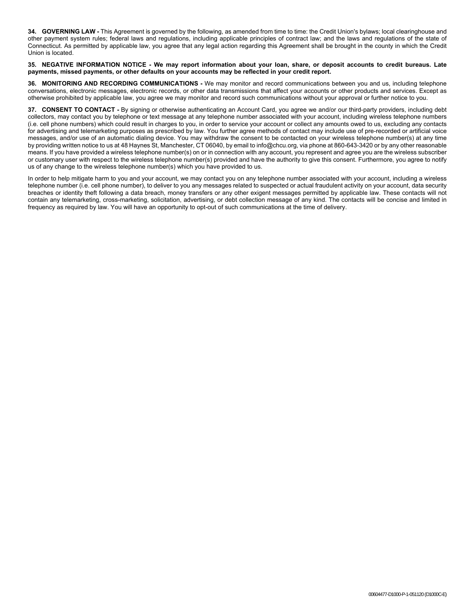**34. GOVERNING LAW -** This Agreement is governed by the following, as amended from time to time: the Credit Union's bylaws; local clearinghouse and other payment system rules; federal laws and regulations, including applicable principles of contract law; and the laws and regulations of the state of Connecticut. As permitted by applicable law, you agree that any legal action regarding this Agreement shall be brought in the county in which the Credit Union is located.

#### **35. NEGATIVE INFORMATION NOTICE - We may report information about your loan, share, or deposit accounts to credit bureaus. Late payments, missed payments, or other defaults on your accounts may be reflected in your credit report.**

**36. MONITORING AND RECORDING COMMUNICATIONS -** We may monitor and record communications between you and us, including telephone conversations, electronic messages, electronic records, or other data transmissions that affect your accounts or other products and services. Except as otherwise prohibited by applicable law, you agree we may monitor and record such communications without your approval or further notice to you.

**37. CONSENT TO CONTACT -** By signing or otherwise authenticating an Account Card, you agree we and/or our third-party providers, including debt collectors, may contact you by telephone or text message at any telephone number associated with your account, including wireless telephone numbers (i.e. cell phone numbers) which could result in charges to you, in order to service your account or collect any amounts owed to us, excluding any contacts for advertising and telemarketing purposes as prescribed by law. You further agree methods of contact may include use of pre-recorded or artificial voice messages, and/or use of an automatic dialing device. You may withdraw the consent to be contacted on your wireless telephone number(s) at any time by providing written notice to us at 48 Haynes St, Manchester, CT 06040, by email to info@chcu.org, via phone at 860-643-3420 or by any other reasonable means. If you have provided a wireless telephone number(s) on or in connection with any account, you represent and agree you are the wireless subscriber or customary user with respect to the wireless telephone number(s) provided and have the authority to give this consent. Furthermore, you agree to notify us of any change to the wireless telephone number(s) which you have provided to us.

In order to help mitigate harm to you and your account, we may contact you on any telephone number associated with your account, including a wireless telephone number (i.e. cell phone number), to deliver to you any messages related to suspected or actual fraudulent activity on your account, data security breaches or identity theft following a data breach, money transfers or any other exigent messages permitted by applicable law. These contacts will not contain any telemarketing, cross-marketing, solicitation, advertising, or debt collection message of any kind. The contacts will be concise and limited in frequency as required by law. You will have an opportunity to opt-out of such communications at the time of delivery.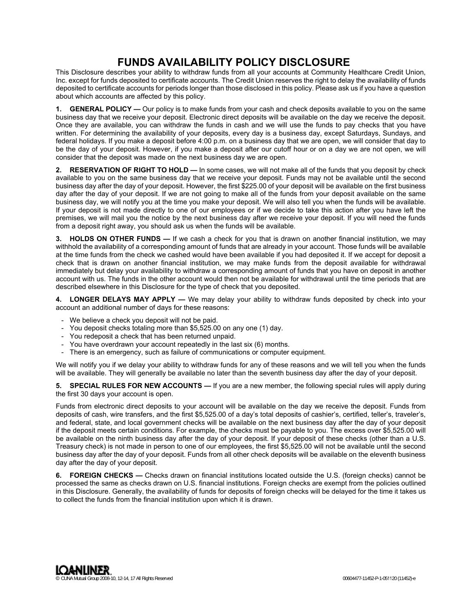# **FUNDS AVAILABILITY POLICY DISCLOSURE**

This Disclosure describes your ability to withdraw funds from all your accounts at Community Healthcare Credit Union, Inc. except for funds deposited to certificate accounts. The Credit Union reserves the right to delay the availability of funds deposited to certificate accounts for periods longer than those disclosed in this policy. Please ask us if you have a question about which accounts are affected by this policy.

**1. GENERAL POLICY —** Our policy is to make funds from your cash and check deposits available to you on the same business day that we receive your deposit. Electronic direct deposits will be available on the day we receive the deposit. Once they are available, you can withdraw the funds in cash and we will use the funds to pay checks that you have written. For determining the availability of your deposits, every day is a business day, except Saturdays, Sundays, and federal holidays. If you make a deposit before 4:00 p.m. on a business day that we are open, we will consider that day to be the day of your deposit. However, if you make a deposit after our cutoff hour or on a day we are not open, we will consider that the deposit was made on the next business day we are open.

**2. RESERVATION OF RIGHT TO HOLD —** In some cases, we will not make all of the funds that you deposit by check available to you on the same business day that we receive your deposit. Funds may not be available until the second business day after the day of your deposit. However, the first \$225.00 of your deposit will be available on the first business day after the day of your deposit. If we are not going to make all of the funds from your deposit available on the same business day, we will notify you at the time you make your deposit. We will also tell you when the funds will be available. If your deposit is not made directly to one of our employees or if we decide to take this action after you have left the premises, we will mail you the notice by the next business day after we receive your deposit. If you will need the funds from a deposit right away, you should ask us when the funds will be available.

**3. HOLDS ON OTHER FUNDS —** If we cash a check for you that is drawn on another financial institution, we may withhold the availability of a corresponding amount of funds that are already in your account. Those funds will be available at the time funds from the check we cashed would have been available if you had deposited it. If we accept for deposit a check that is drawn on another financial institution, we may make funds from the deposit available for withdrawal immediately but delay your availability to withdraw a corresponding amount of funds that you have on deposit in another account with us. The funds in the other account would then not be available for withdrawal until the time periods that are described elsewhere in this Disclosure for the type of check that you deposited.

**4. LONGER DELAYS MAY APPLY —** We may delay your ability to withdraw funds deposited by check into your account an additional number of days for these reasons:

- We believe a check you deposit will not be paid.
- You deposit checks totaling more than \$5,525.00 on any one (1) day.
- You redeposit a check that has been returned unpaid.
- You have overdrawn your account repeatedly in the last six (6) months.
- There is an emergency, such as failure of communications or computer equipment.

We will notify you if we delay your ability to withdraw funds for any of these reasons and we will tell you when the funds will be available. They will generally be available no later than the seventh business day after the day of your deposit.

**5. SPECIAL RULES FOR NEW ACCOUNTS —** If you are a new member, the following special rules will apply during the first 30 days your account is open.

Funds from electronic direct deposits to your account will be available on the day we receive the deposit. Funds from deposits of cash, wire transfers, and the first \$5,525.00 of a day's total deposits of cashier's, certified, teller's, traveler's, and federal, state, and local government checks will be available on the next business day after the day of your deposit if the deposit meets certain conditions. For example, the checks must be payable to you. The excess over \$5,525.00 will be available on the ninth business day after the day of your deposit. If your deposit of these checks (other than a U.S. Treasury check) is not made in person to one of our employees, the first \$5,525.00 will not be available until the second business day after the day of your deposit. Funds from all other check deposits will be available on the eleventh business day after the day of your deposit.

**6. FOREIGN CHECKS —** Checks drawn on financial institutions located outside the U.S. (foreign checks) cannot be processed the same as checks drawn on U.S. financial institutions. Foreign checks are exempt from the policies outlined in this Disclosure. Generally, the availability of funds for deposits of foreign checks will be delayed for the time it takes us to collect the funds from the financial institution upon which it is drawn.

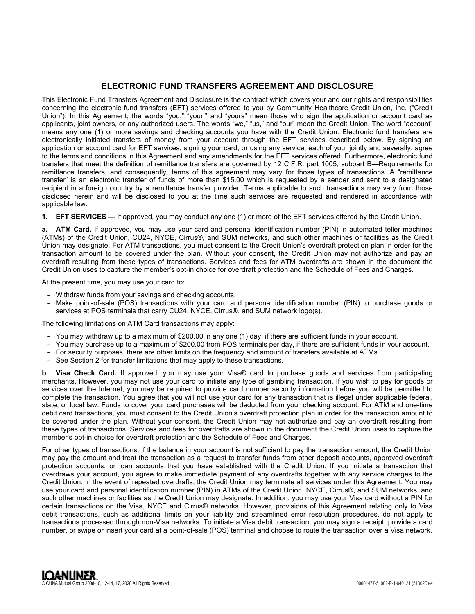# **ELECTRONIC FUND TRANSFERS AGREEMENT AND DISCLOSURE**

This Electronic Fund Transfers Agreement and Disclosure is the contract which covers your and our rights and responsibilities concerning the electronic fund transfers (EFT) services offered to you by Community Healthcare Credit Union, Inc. ("Credit Union"). In this Agreement, the words "you," "your," and "yours" mean those who sign the application or account card as applicants, joint owners, or any authorized users. The words "we," "us," and "our" mean the Credit Union. The word "account" means any one (1) or more savings and checking accounts you have with the Credit Union. Electronic fund transfers are electronically initiated transfers of money from your account through the EFT services described below. By signing an application or account card for EFT services, signing your card, or using any service, each of you, jointly and severally, agree to the terms and conditions in this Agreement and any amendments for the EFT services offered. Furthermore, electronic fund transfers that meet the definition of remittance transfers are governed by 12 C.F.R. part 1005, subpart B—Requirements for remittance transfers, and consequently, terms of this agreement may vary for those types of transactions. A "remittance transfer" is an electronic transfer of funds of more than \$15.00 which is requested by a sender and sent to a designated recipient in a foreign country by a remittance transfer provider. Terms applicable to such transactions may vary from those disclosed herein and will be disclosed to you at the time such services are requested and rendered in accordance with applicable law.

**1. EFT SERVICES —** If approved, you may conduct any one (1) or more of the EFT services offered by the Credit Union.

**a. ATM Card.** If approved, you may use your card and personal identification number (PIN) in automated teller machines (ATMs) of the Credit Union, CU24, NYCE, Cirrus®, and SUM networks, and such other machines or facilities as the Credit Union may designate. For ATM transactions, you must consent to the Credit Union's overdraft protection plan in order for the transaction amount to be covered under the plan. Without your consent, the Credit Union may not authorize and pay an overdraft resulting from these types of transactions. Services and fees for ATM overdrafts are shown in the document the Credit Union uses to capture the member's opt-in choice for overdraft protection and the Schedule of Fees and Charges.

At the present time, you may use your card to:

- Withdraw funds from your savings and checking accounts.
- Make point-of-sale (POS) transactions with your card and personal identification number (PIN) to purchase goods or services at POS terminals that carry CU24, NYCE, Cirrus®, and SUM network logo(s).

The following limitations on ATM Card transactions may apply:

- You may withdraw up to a maximum of \$200.00 in any one (1) day, if there are sufficient funds in your account.
- You may purchase up to a maximum of \$200.00 from POS terminals per day, if there are sufficient funds in your account.
- For security purposes, there are other limits on the frequency and amount of transfers available at ATMs.
- See Section 2 for transfer limitations that may apply to these transactions.

**b. Visa Check Card.** If approved, you may use your Visa® card to purchase goods and services from participating merchants. However, you may not use your card to initiate any type of gambling transaction. If you wish to pay for goods or services over the Internet, you may be required to provide card number security information before you will be permitted to complete the transaction. You agree that you will not use your card for any transaction that is illegal under applicable federal, state, or local law. Funds to cover your card purchases will be deducted from your checking account. For ATM and one-time debit card transactions, you must consent to the Credit Union's overdraft protection plan in order for the transaction amount to be covered under the plan. Without your consent, the Credit Union may not authorize and pay an overdraft resulting from these types of transactions. Services and fees for overdrafts are shown in the document the Credit Union uses to capture the member's opt-in choice for overdraft protection and the Schedule of Fees and Charges.

For other types of transactions, if the balance in your account is not sufficient to pay the transaction amount, the Credit Union may pay the amount and treat the transaction as a request to transfer funds from other deposit accounts, approved overdraft protection accounts, or loan accounts that you have established with the Credit Union. If you initiate a transaction that overdraws your account, you agree to make immediate payment of any overdrafts together with any service charges to the Credit Union. In the event of repeated overdrafts, the Credit Union may terminate all services under this Agreement. You may use your card and personal identification number (PIN) in ATMs of the Credit Union, NYCE, Cirrus®, and SUM networks, and such other machines or facilities as the Credit Union may designate. In addition, you may use your Visa card without a PIN for certain transactions on the Visa, NYCE and Cirrus® networks. However, provisions of this Agreement relating only to Visa debit transactions, such as additional limits on your liability and streamlined error resolution procedures, do not apply to transactions processed through non-Visa networks. To initiate a Visa debit transaction, you may sign a receipt, provide a card number, or swipe or insert your card at a point-of-sale (POS) terminal and choose to route the transaction over a Visa network.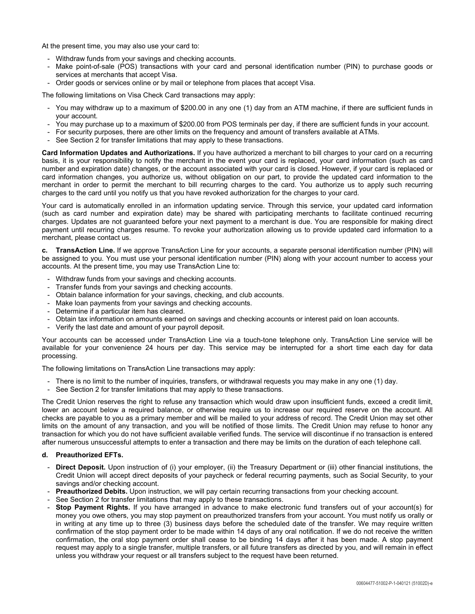At the present time, you may also use your card to:

- Withdraw funds from your savings and checking accounts.
- Make point-of-sale (POS) transactions with your card and personal identification number (PIN) to purchase goods or services at merchants that accept Visa.
- Order goods or services online or by mail or telephone from places that accept Visa.

The following limitations on Visa Check Card transactions may apply:

- You may withdraw up to a maximum of \$200.00 in any one (1) day from an ATM machine, if there are sufficient funds in your account.
- You may purchase up to a maximum of \$200.00 from POS terminals per day, if there are sufficient funds in your account.
- For security purposes, there are other limits on the frequency and amount of transfers available at ATMs.
- See Section 2 for transfer limitations that may apply to these transactions.

**Card Information Updates and Authorizations.** If you have authorized a merchant to bill charges to your card on a recurring basis, it is your responsibility to notify the merchant in the event your card is replaced, your card information (such as card number and expiration date) changes, or the account associated with your card is closed. However, if your card is replaced or card information changes, you authorize us, without obligation on our part, to provide the updated card information to the merchant in order to permit the merchant to bill recurring charges to the card. You authorize us to apply such recurring charges to the card until you notify us that you have revoked authorization for the charges to your card.

Your card is automatically enrolled in an information updating service. Through this service, your updated card information (such as card number and expiration date) may be shared with participating merchants to facilitate continued recurring charges. Updates are not guaranteed before your next payment to a merchant is due. You are responsible for making direct payment until recurring charges resume. To revoke your authorization allowing us to provide updated card information to a merchant, please contact us.

**c. TransAction Line.** If we approve TransAction Line for your accounts, a separate personal identification number (PIN) will be assigned to you. You must use your personal identification number (PIN) along with your account number to access your accounts. At the present time, you may use TransAction Line to:

- Withdraw funds from your savings and checking accounts.
- Transfer funds from your savings and checking accounts.
- Obtain balance information for your savings, checking, and club accounts.
- Make loan payments from your savings and checking accounts.
- Determine if a particular item has cleared.
- Obtain tax information on amounts earned on savings and checking accounts or interest paid on loan accounts.
- Verify the last date and amount of your payroll deposit.

Your accounts can be accessed under TransAction Line via a touch-tone telephone only. TransAction Line service will be available for your convenience 24 hours per day. This service may be interrupted for a short time each day for data processing.

The following limitations on TransAction Line transactions may apply:

- There is no limit to the number of inquiries, transfers, or withdrawal requests you may make in any one (1) day.
- See Section 2 for transfer limitations that may apply to these transactions.

The Credit Union reserves the right to refuse any transaction which would draw upon insufficient funds, exceed a credit limit, lower an account below a required balance, or otherwise require us to increase our required reserve on the account. All checks are payable to you as a primary member and will be mailed to your address of record. The Credit Union may set other limits on the amount of any transaction, and you will be notified of those limits. The Credit Union may refuse to honor any transaction for which you do not have sufficient available verified funds. The service will discontinue if no transaction is entered after numerous unsuccessful attempts to enter a transaction and there may be limits on the duration of each telephone call.

# **d. Preauthorized EFTs.**

- **Direct Deposit.** Upon instruction of (i) your employer, (ii) the Treasury Department or (iii) other financial institutions, the Credit Union will accept direct deposits of your paycheck or federal recurring payments, such as Social Security, to your savings and/or checking account.
- **Preauthorized Debits.** Upon instruction, we will pay certain recurring transactions from your checking account.
- See Section 2 for transfer limitations that may apply to these transactions.
- **Stop Payment Rights.** If you have arranged in advance to make electronic fund transfers out of your account(s) for money you owe others, you may stop payment on preauthorized transfers from your account. You must notify us orally or in writing at any time up to three (3) business days before the scheduled date of the transfer. We may require written confirmation of the stop payment order to be made within 14 days of any oral notification. If we do not receive the written confirmation, the oral stop payment order shall cease to be binding 14 days after it has been made. A stop payment request may apply to a single transfer, multiple transfers, or all future transfers as directed by you, and will remain in effect unless you withdraw your request or all transfers subject to the request have been returned.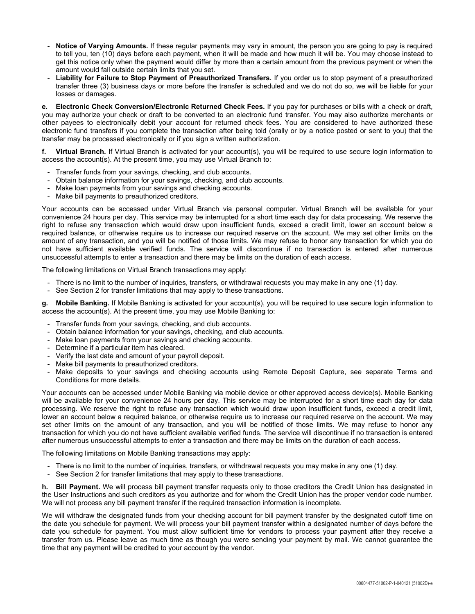- **Notice of Varying Amounts.** If these regular payments may vary in amount, the person you are going to pay is required to tell you, ten (10) days before each payment, when it will be made and how much it will be. You may choose instead to get this notice only when the payment would differ by more than a certain amount from the previous payment or when the amount would fall outside certain limits that you set.
- **Liability for Failure to Stop Payment of Preauthorized Transfers.** If you order us to stop payment of a preauthorized transfer three (3) business days or more before the transfer is scheduled and we do not do so, we will be liable for your losses or damages.

**e. Electronic Check Conversion/Electronic Returned Check Fees.** If you pay for purchases or bills with a check or draft, you may authorize your check or draft to be converted to an electronic fund transfer. You may also authorize merchants or other payees to electronically debit your account for returned check fees. You are considered to have authorized these electronic fund transfers if you complete the transaction after being told (orally or by a notice posted or sent to you) that the transfer may be processed electronically or if you sign a written authorization.

**f. Virtual Branch.** If Virtual Branch is activated for your account(s), you will be required to use secure login information to access the account(s). At the present time, you may use Virtual Branch to:

- Transfer funds from your savings, checking, and club accounts.
- Obtain balance information for your savings, checking, and club accounts.
- Make loan payments from your savings and checking accounts.
- Make bill payments to preauthorized creditors.

Your accounts can be accessed under Virtual Branch via personal computer. Virtual Branch will be available for your convenience 24 hours per day. This service may be interrupted for a short time each day for data processing. We reserve the right to refuse any transaction which would draw upon insufficient funds, exceed a credit limit, lower an account below a required balance, or otherwise require us to increase our required reserve on the account. We may set other limits on the amount of any transaction, and you will be notified of those limits. We may refuse to honor any transaction for which you do not have sufficient available verified funds. The service will discontinue if no transaction is entered after numerous unsuccessful attempts to enter a transaction and there may be limits on the duration of each access.

The following limitations on Virtual Branch transactions may apply:

- There is no limit to the number of inquiries, transfers, or withdrawal requests you may make in any one (1) day.
- See Section 2 for transfer limitations that may apply to these transactions.

**g. Mobile Banking.** If Mobile Banking is activated for your account(s), you will be required to use secure login information to access the account(s). At the present time, you may use Mobile Banking to:

- Transfer funds from your savings, checking, and club accounts.
- Obtain balance information for your savings, checking, and club accounts.
- Make loan payments from your savings and checking accounts.
- Determine if a particular item has cleared.
- Verify the last date and amount of your payroll deposit.
- Make bill payments to preauthorized creditors.
- Make deposits to your savings and checking accounts using Remote Deposit Capture, see separate Terms and Conditions for more details.

Your accounts can be accessed under Mobile Banking via mobile device or other approved access device(s). Mobile Banking will be available for your convenience 24 hours per day. This service may be interrupted for a short time each day for data processing. We reserve the right to refuse any transaction which would draw upon insufficient funds, exceed a credit limit, lower an account below a required balance, or otherwise require us to increase our required reserve on the account. We may set other limits on the amount of any transaction, and you will be notified of those limits. We may refuse to honor any transaction for which you do not have sufficient available verified funds. The service will discontinue if no transaction is entered after numerous unsuccessful attempts to enter a transaction and there may be limits on the duration of each access.

The following limitations on Mobile Banking transactions may apply:

- There is no limit to the number of inquiries, transfers, or withdrawal requests you may make in any one (1) day.
- See Section 2 for transfer limitations that may apply to these transactions.

**h. Bill Payment.** We will process bill payment transfer requests only to those creditors the Credit Union has designated in the User Instructions and such creditors as you authorize and for whom the Credit Union has the proper vendor code number. We will not process any bill payment transfer if the required transaction information is incomplete.

We will withdraw the designated funds from your checking account for bill payment transfer by the designated cutoff time on the date you schedule for payment. We will process your bill payment transfer within a designated number of days before the date you schedule for payment. You must allow sufficient time for vendors to process your payment after they receive a transfer from us. Please leave as much time as though you were sending your payment by mail. We cannot guarantee the time that any payment will be credited to your account by the vendor.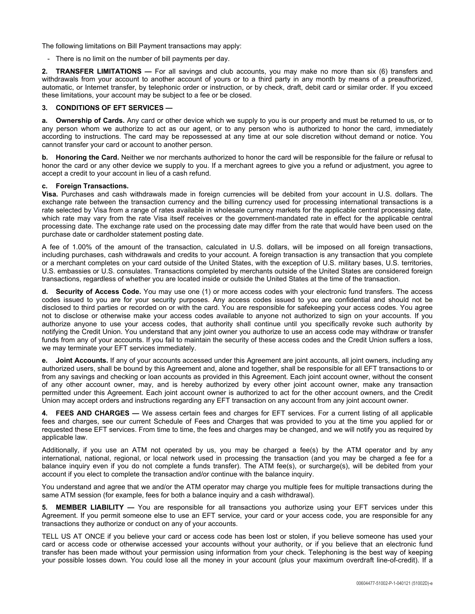The following limitations on Bill Payment transactions may apply:

- There is no limit on the number of bill payments per day.

**2. TRANSFER LIMITATIONS —** For all savings and club accounts, you may make no more than six (6) transfers and withdrawals from your account to another account of yours or to a third party in any month by means of a preauthorized, automatic, or Internet transfer, by telephonic order or instruction, or by check, draft, debit card or similar order. If you exceed these limitations, your account may be subject to a fee or be closed.

# **3. CONDITIONS OF EFT SERVICES —**

**a. Ownership of Cards.** Any card or other device which we supply to you is our property and must be returned to us, or to any person whom we authorize to act as our agent, or to any person who is authorized to honor the card, immediately according to instructions. The card may be repossessed at any time at our sole discretion without demand or notice. You cannot transfer your card or account to another person.

**b. Honoring the Card.** Neither we nor merchants authorized to honor the card will be responsible for the failure or refusal to honor the card or any other device we supply to you. If a merchant agrees to give you a refund or adjustment, you agree to accept a credit to your account in lieu of a cash refund.

# **c. Foreign Transactions.**

**Visa.** Purchases and cash withdrawals made in foreign currencies will be debited from your account in U.S. dollars. The exchange rate between the transaction currency and the billing currency used for processing international transactions is a rate selected by Visa from a range of rates available in wholesale currency markets for the applicable central processing date, which rate may vary from the rate Visa itself receives or the government-mandated rate in effect for the applicable central processing date. The exchange rate used on the processing date may differ from the rate that would have been used on the purchase date or cardholder statement posting date.

A fee of 1.00% of the amount of the transaction, calculated in U.S. dollars, will be imposed on all foreign transactions, including purchases, cash withdrawals and credits to your account. A foreign transaction is any transaction that you complete or a merchant completes on your card outside of the United States, with the exception of U.S. military bases, U.S. territories, U.S. embassies or U.S. consulates. Transactions completed by merchants outside of the United States are considered foreign transactions, regardless of whether you are located inside or outside the United States at the time of the transaction.

**d. Security of Access Code.** You may use one (1) or more access codes with your electronic fund transfers. The access codes issued to you are for your security purposes. Any access codes issued to you are confidential and should not be disclosed to third parties or recorded on or with the card. You are responsible for safekeeping your access codes. You agree not to disclose or otherwise make your access codes available to anyone not authorized to sign on your accounts. If you authorize anyone to use your access codes, that authority shall continue until you specifically revoke such authority by notifying the Credit Union. You understand that any joint owner you authorize to use an access code may withdraw or transfer funds from any of your accounts. If you fail to maintain the security of these access codes and the Credit Union suffers a loss, we may terminate your EFT services immediately.

**e. Joint Accounts.** If any of your accounts accessed under this Agreement are joint accounts, all joint owners, including any authorized users, shall be bound by this Agreement and, alone and together, shall be responsible for all EFT transactions to or from any savings and checking or loan accounts as provided in this Agreement. Each joint account owner, without the consent of any other account owner, may, and is hereby authorized by every other joint account owner, make any transaction permitted under this Agreement. Each joint account owner is authorized to act for the other account owners, and the Credit Union may accept orders and instructions regarding any EFT transaction on any account from any joint account owner.

**4. FEES AND CHARGES —** We assess certain fees and charges for EFT services. For a current listing of all applicable fees and charges, see our current Schedule of Fees and Charges that was provided to you at the time you applied for or requested these EFT services. From time to time, the fees and charges may be changed, and we will notify you as required by applicable law.

Additionally, if you use an ATM not operated by us, you may be charged a fee(s) by the ATM operator and by any international, national, regional, or local network used in processing the transaction (and you may be charged a fee for a balance inquiry even if you do not complete a funds transfer). The ATM fee(s), or surcharge(s), will be debited from your account if you elect to complete the transaction and/or continue with the balance inquiry.

You understand and agree that we and/or the ATM operator may charge you multiple fees for multiple transactions during the same ATM session (for example, fees for both a balance inquiry and a cash withdrawal).

**5. MEMBER LIABILITY —** You are responsible for all transactions you authorize using your EFT services under this Agreement. If you permit someone else to use an EFT service, your card or your access code, you are responsible for any transactions they authorize or conduct on any of your accounts.

TELL US AT ONCE if you believe your card or access code has been lost or stolen, if you believe someone has used your card or access code or otherwise accessed your accounts without your authority, or if you believe that an electronic fund transfer has been made without your permission using information from your check. Telephoning is the best way of keeping your possible losses down. You could lose all the money in your account (plus your maximum overdraft line-of-credit). If a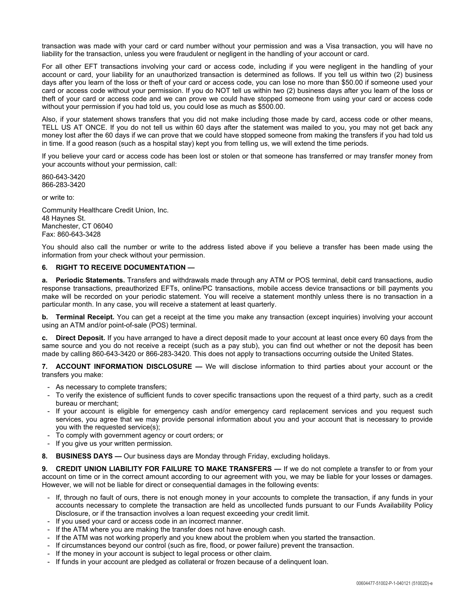transaction was made with your card or card number without your permission and was a Visa transaction, you will have no liability for the transaction, unless you were fraudulent or negligent in the handling of your account or card.

For all other EFT transactions involving your card or access code, including if you were negligent in the handling of your account or card, your liability for an unauthorized transaction is determined as follows. If you tell us within two (2) business days after you learn of the loss or theft of your card or access code, you can lose no more than \$50.00 if someone used your card or access code without your permission. If you do NOT tell us within two (2) business days after you learn of the loss or theft of your card or access code and we can prove we could have stopped someone from using your card or access code without your permission if you had told us, you could lose as much as \$500.00.

Also, if your statement shows transfers that you did not make including those made by card, access code or other means, TELL US AT ONCE. If you do not tell us within 60 days after the statement was mailed to you, you may not get back any money lost after the 60 days if we can prove that we could have stopped someone from making the transfers if you had told us in time. If a good reason (such as a hospital stay) kept you from telling us, we will extend the time periods.

If you believe your card or access code has been lost or stolen or that someone has transferred or may transfer money from your accounts without your permission, call:

860-643-3420 866-283-3420

or write to:

Community Healthcare Credit Union, Inc. 48 Haynes St. Manchester, CT 06040 Fax: 860-643-3428

You should also call the number or write to the address listed above if you believe a transfer has been made using the information from your check without your permission.

# **6. RIGHT TO RECEIVE DOCUMENTATION —**

**a. Periodic Statements.** Transfers and withdrawals made through any ATM or POS terminal, debit card transactions, audio response transactions, preauthorized EFTs, online/PC transactions, mobile access device transactions or bill payments you make will be recorded on your periodic statement. You will receive a statement monthly unless there is no transaction in a particular month. In any case, you will receive a statement at least quarterly.

**b.** Terminal Receipt. You can get a receipt at the time you make any transaction (except inquiries) involving your account using an ATM and/or point-of-sale (POS) terminal.

**c. Direct Deposit.** If you have arranged to have a direct deposit made to your account at least once every 60 days from the same source and you do not receive a receipt (such as a pay stub), you can find out whether or not the deposit has been made by calling 860-643-3420 or 866-283-3420. This does not apply to transactions occurring outside the United States.

**7. ACCOUNT INFORMATION DISCLOSURE —** We will disclose information to third parties about your account or the transfers you make:

- As necessary to complete transfers;
- To verify the existence of sufficient funds to cover specific transactions upon the request of a third party, such as a credit bureau or merchant;
- If your account is eligible for emergency cash and/or emergency card replacement services and you request such services, you agree that we may provide personal information about you and your account that is necessary to provide you with the requested service(s);
- To comply with government agency or court orders; or
- If you give us your written permission.
- **8. BUSINESS DAYS —** Our business days are Monday through Friday, excluding holidays.

**9. CREDIT UNION LIABILITY FOR FAILURE TO MAKE TRANSFERS — If we do not complete a transfer to or from your** account on time or in the correct amount according to our agreement with you, we may be liable for your losses or damages. However, we will not be liable for direct or consequential damages in the following events:

- If, through no fault of ours, there is not enough money in your accounts to complete the transaction, if any funds in your accounts necessary to complete the transaction are held as uncollected funds pursuant to our Funds Availability Policy Disclosure, or if the transaction involves a loan request exceeding your credit limit.
- If you used your card or access code in an incorrect manner.
- If the ATM where you are making the transfer does not have enough cash.
- If the ATM was not working properly and you knew about the problem when you started the transaction.
- If circumstances beyond our control (such as fire, flood, or power failure) prevent the transaction.
- If the money in your account is subject to legal process or other claim.
- If funds in your account are pledged as collateral or frozen because of a delinquent loan.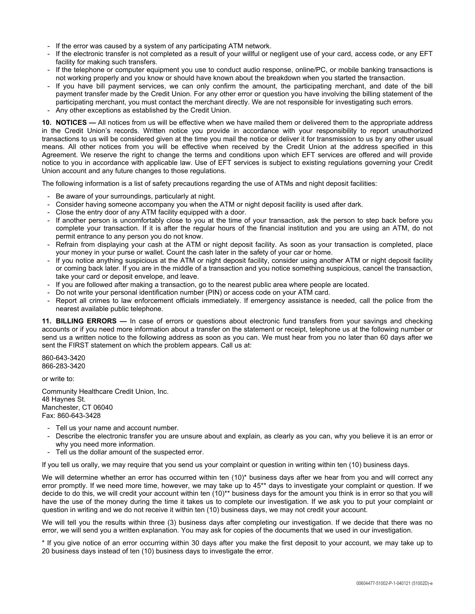- If the error was caused by a system of any participating ATM network.
- If the electronic transfer is not completed as a result of your willful or negligent use of your card, access code, or any EFT facility for making such transfers.
- If the telephone or computer equipment you use to conduct audio response, online/PC, or mobile banking transactions is not working properly and you know or should have known about the breakdown when you started the transaction.
- If you have bill payment services, we can only confirm the amount, the participating merchant, and date of the bill payment transfer made by the Credit Union. For any other error or question you have involving the billing statement of the participating merchant, you must contact the merchant directly. We are not responsible for investigating such errors.
- Any other exceptions as established by the Credit Union.

**10. NOTICES —** All notices from us will be effective when we have mailed them or delivered them to the appropriate address in the Credit Union's records. Written notice you provide in accordance with your responsibility to report unauthorized transactions to us will be considered given at the time you mail the notice or deliver it for transmission to us by any other usual means. All other notices from you will be effective when received by the Credit Union at the address specified in this Agreement. We reserve the right to change the terms and conditions upon which EFT services are offered and will provide notice to you in accordance with applicable law. Use of EFT services is subject to existing regulations governing your Credit Union account and any future changes to those regulations.

The following information is a list of safety precautions regarding the use of ATMs and night deposit facilities:

- Be aware of your surroundings, particularly at night.
- Consider having someone accompany you when the ATM or night deposit facility is used after dark.
- Close the entry door of any ATM facility equipped with a door.
- If another person is uncomfortably close to you at the time of your transaction, ask the person to step back before you complete your transaction. If it is after the regular hours of the financial institution and you are using an ATM, do not permit entrance to any person you do not know.
- Refrain from displaying your cash at the ATM or night deposit facility. As soon as your transaction is completed, place your money in your purse or wallet. Count the cash later in the safety of your car or home.
- If you notice anything suspicious at the ATM or night deposit facility, consider using another ATM or night deposit facility or coming back later. If you are in the middle of a transaction and you notice something suspicious, cancel the transaction, take your card or deposit envelope, and leave.
- If you are followed after making a transaction, go to the nearest public area where people are located.
- Do not write your personal identification number (PIN) or access code on your ATM card.
- Report all crimes to law enforcement officials immediately. If emergency assistance is needed, call the police from the nearest available public telephone.

**11. BILLING ERRORS —** In case of errors or questions about electronic fund transfers from your savings and checking accounts or if you need more information about a transfer on the statement or receipt, telephone us at the following number or send us a written notice to the following address as soon as you can. We must hear from you no later than 60 days after we sent the FIRST statement on which the problem appears. Call us at:

860-643-3420 866-283-3420

or write to:

Community Healthcare Credit Union, Inc. 48 Haynes St. Manchester, CT 06040 Fax: 860-643-3428

- Tell us your name and account number.
- Describe the electronic transfer you are unsure about and explain, as clearly as you can, why you believe it is an error or why you need more information.
- Tell us the dollar amount of the suspected error.

If you tell us orally, we may require that you send us your complaint or question in writing within ten (10) business days.

We will determine whether an error has occurred within ten (10)\* business days after we hear from you and will correct any error promptly. If we need more time, however, we may take up to 45\*\* days to investigate your complaint or question. If we decide to do this, we will credit your account within ten (10)\*\* business days for the amount you think is in error so that you will have the use of the money during the time it takes us to complete our investigation. If we ask you to put your complaint or question in writing and we do not receive it within ten (10) business days, we may not credit your account.

We will tell you the results within three (3) business days after completing our investigation. If we decide that there was no error, we will send you a written explanation. You may ask for copies of the documents that we used in our investigation.

\* If you give notice of an error occurring within 30 days after you make the first deposit to your account, we may take up to 20 business days instead of ten (10) business days to investigate the error.